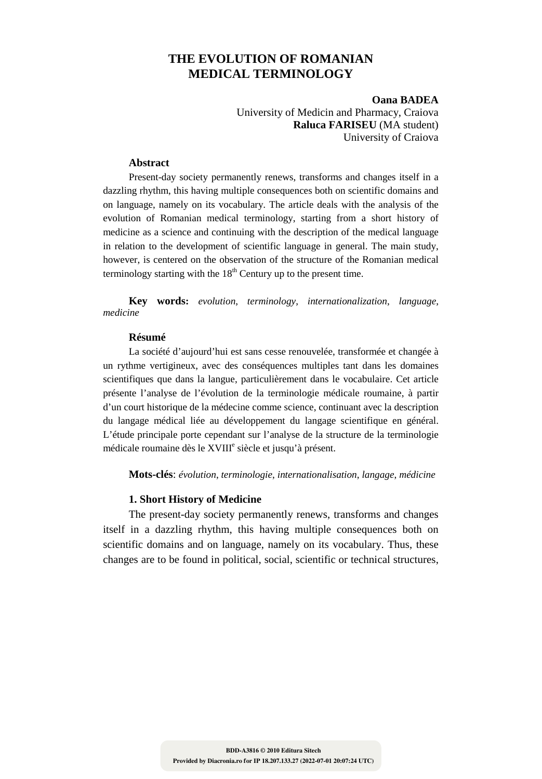# **THE EVOLUTION OF ROMANIAN MEDICAL TERMINOLOGY**

**Oana BADEA**  University of Medicin and Pharmacy, Craiova **Raluca FARISEU** (MA student) University of Craiova

#### **Abstract**

Present-day society permanently renews, transforms and changes itself in a dazzling rhythm, this having multiple consequences both on scientific domains and on language, namely on its vocabulary. The article deals with the analysis of the evolution of Romanian medical terminology, starting from a short history of medicine as a science and continuing with the description of the medical language in relation to the development of scientific language in general. The main study, however, is centered on the observation of the structure of the Romanian medical terminology starting with the  $18<sup>th</sup>$  Century up to the present time.

**Key words:** *evolution*, *terminology*, *internationalization*, *language*, *medicine*

### **Résumé**

La société d'aujourd'hui est sans cesse renouvelée, transformée et changée à un rythme vertigineux, avec des conséquences multiples tant dans les domaines scientifiques que dans la langue, particulièrement dans le vocabulaire. Cet article présente l'analyse de l'évolution de la terminologie médicale roumaine, à partir d'un court historique de la médecine comme science, continuant avec la description du langage médical liée au développement du langage scientifique en général. L'étude principale porte cependant sur l'analyse de la structure de la terminologie médicale roumaine dès le XVIII<sup>e</sup> siècle et jusqu'à présent.

**Mots-clés**: *évolution*, *terminologie*, *internationalisation*, *langage*, *médicine* 

### **1. Short History of Medicine**

The present-day society permanently renews, transforms and changes itself in a dazzling rhythm, this having multiple consequences both on scientific domains and on language, namely on its vocabulary. Thus, these changes are to be found in political, social, scientific or technical structures,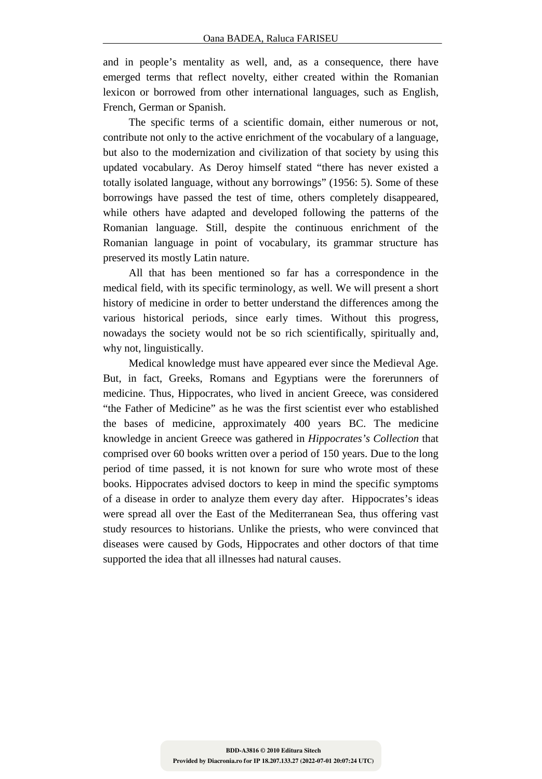and in people's mentality as well, and, as a consequence, there have emerged terms that reflect novelty, either created within the Romanian lexicon or borrowed from other international languages, such as English, French, German or Spanish.

The specific terms of a scientific domain, either numerous or not, contribute not only to the active enrichment of the vocabulary of a language, but also to the modernization and civilization of that society by using this updated vocabulary. As Deroy himself stated "there has never existed a totally isolated language, without any borrowings" (1956: 5). Some of these borrowings have passed the test of time, others completely disappeared, while others have adapted and developed following the patterns of the Romanian language. Still, despite the continuous enrichment of the Romanian language in point of vocabulary, its grammar structure has preserved its mostly Latin nature.

All that has been mentioned so far has a correspondence in the medical field, with its specific terminology, as well. We will present a short history of medicine in order to better understand the differences among the various historical periods, since early times. Without this progress, nowadays the society would not be so rich scientifically, spiritually and, why not, linguistically.

Medical knowledge must have appeared ever since the Medieval Age. But, in fact, Greeks, Romans and Egyptians were the forerunners of medicine. Thus, Hippocrates, who lived in ancient Greece, was considered "the Father of Medicine" as he was the first scientist ever who established the bases of medicine, approximately 400 years BC. The medicine knowledge in ancient Greece was gathered in *Hippocrates's Collection* that comprised over 60 books written over a period of 150 years. Due to the long period of time passed, it is not known for sure who wrote most of these books. Hippocrates advised doctors to keep in mind the specific symptoms of a disease in order to analyze them every day after. Hippocrates's ideas were spread all over the East of the Mediterranean Sea, thus offering vast study resources to historians. Unlike the priests, who were convinced that diseases were caused by Gods, Hippocrates and other doctors of that time supported the idea that all illnesses had natural causes.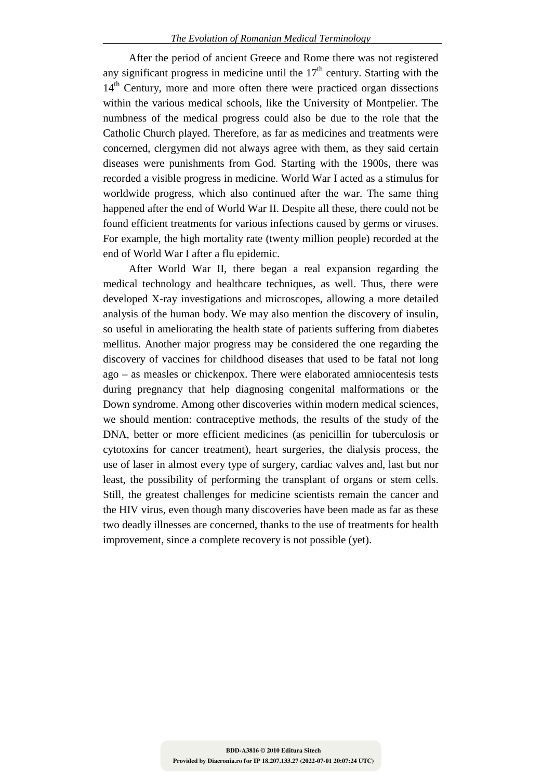After the period of ancient Greece and Rome there was not registered any significant progress in medicine until the  $17<sup>th</sup>$  century. Starting with the 14<sup>th</sup> Century, more and more often there were practiced organ dissections within the various medical schools, like the University of Montpelier. The numbness of the medical progress could also be due to the role that the Catholic Church played. Therefore, as far as medicines and treatments were concerned, clergymen did not always agree with them, as they said certain diseases were punishments from God. Starting with the 1900s, there was recorded a visible progress in medicine. World War I acted as a stimulus for worldwide progress, which also continued after the war. The same thing happened after the end of World War II. Despite all these, there could not be found efficient treatments for various infections caused by germs or viruses. For example, the high mortality rate (twenty million people) recorded at the end of World War I after a flu epidemic.

After World War II, there began a real expansion regarding the medical technology and healthcare techniques, as well. Thus, there were developed X-ray investigations and microscopes, allowing a more detailed analysis of the human body. We may also mention the discovery of insulin, so useful in ameliorating the health state of patients suffering from diabetes mellitus. Another major progress may be considered the one regarding the discovery of vaccines for childhood diseases that used to be fatal not long ago – as measles or chickenpox. There were elaborated amniocentesis tests during pregnancy that help diagnosing congenital malformations or the Down syndrome. Among other discoveries within modern medical sciences, we should mention: contraceptive methods, the results of the study of the DNA, better or more efficient medicines (as penicillin for tuberculosis or cytotoxins for cancer treatment), heart surgeries, the dialysis process, the use of laser in almost every type of surgery, cardiac valves and, last but nor least, the possibility of performing the transplant of organs or stem cells. Still, the greatest challenges for medicine scientists remain the cancer and the HIV virus, even though many discoveries have been made as far as these two deadly illnesses are concerned, thanks to the use of treatments for health improvement, since a complete recovery is not possible (yet).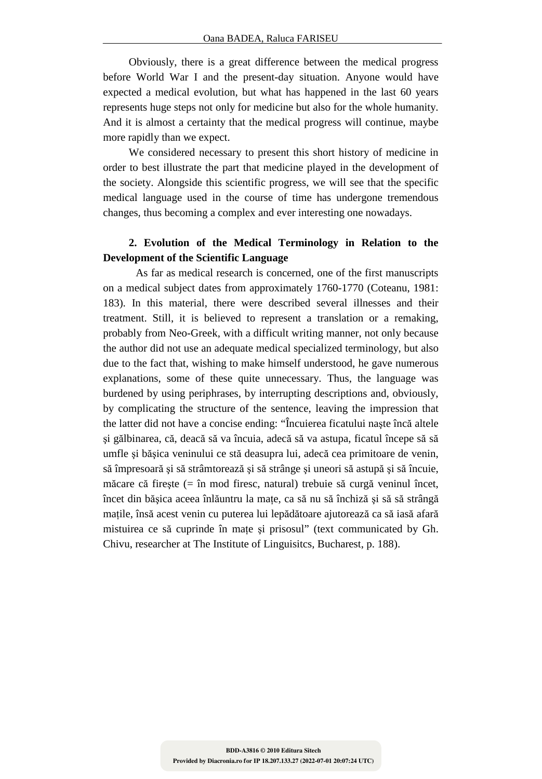Obviously, there is a great difference between the medical progress before World War I and the present-day situation. Anyone would have expected a medical evolution, but what has happened in the last 60 years represents huge steps not only for medicine but also for the whole humanity. And it is almost a certainty that the medical progress will continue, maybe more rapidly than we expect.

We considered necessary to present this short history of medicine in order to best illustrate the part that medicine played in the development of the society. Alongside this scientific progress, we will see that the specific medical language used in the course of time has undergone tremendous changes, thus becoming a complex and ever interesting one nowadays.

## **2. Evolution of the Medical Terminology in Relation to the Development of the Scientific Language**

As far as medical research is concerned, one of the first manuscripts on a medical subject dates from approximately 1760-1770 (Coteanu, 1981: 183). In this material, there were described several illnesses and their treatment. Still, it is believed to represent a translation or a remaking, probably from Neo-Greek, with a difficult writing manner, not only because the author did not use an adequate medical specialized terminology, but also due to the fact that, wishing to make himself understood, he gave numerous explanations, some of these quite unnecessary. Thus, the language was burdened by using periphrases, by interrupting descriptions and, obviously, by complicating the structure of the sentence, leaving the impression that the latter did not have a concise ending: "Încuierea ficatului naşte încă altele şi gălbinarea, că, deacă să va încuia, adecă să va astupa, ficatul începe să să umfle şi băşica veninului ce stă deasupra lui, adecă cea primitoare de venin, să împresoară şi să strâmtorează şi să strânge şi uneori să astupă şi să încuie, măcare că fireşte (= în mod firesc, natural) trebuie să curgă veninul încet, încet din bășica aceea înlăuntru la mațe, ca să nu să închiză și să să strângă mațile, însă acest venin cu puterea lui lepădătoare ajutorează ca să iasă afară mistuirea ce să cuprinde în mațe și prisosul" (text communicated by Gh. Chivu, researcher at The Institute of Linguisitcs, Bucharest, p. 188).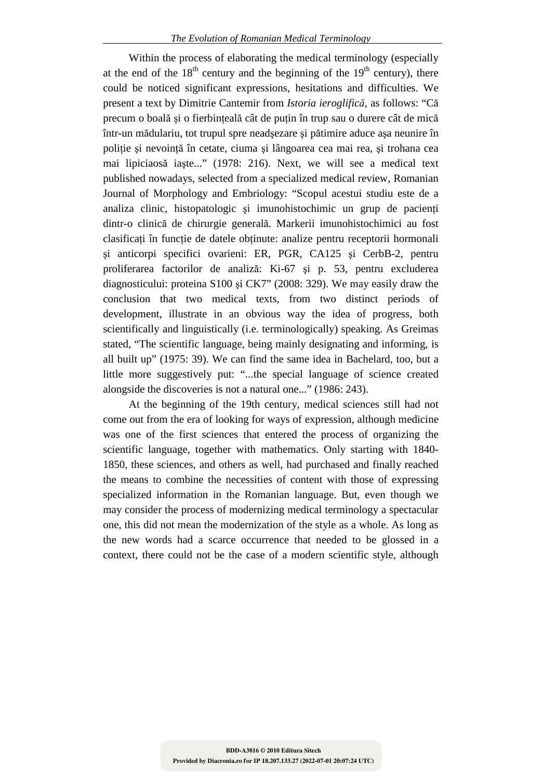Within the process of elaborating the medical terminology (especially at the end of the  $18^{th}$  century and the beginning of the  $19^{th}$  century), there could be noticed significant expressions, hesitations and difficulties. We present a text by Dimitrie Cantemir from *Istoria ieroglifică*, as follows: "Că precum o boală și o fierbinteală cât de putin în trup sau o durere cât de mică într-un mădulariu, tot trupul spre neadşezare şi pătimire aduce aşa neunire în politie și nevoință în cetate, ciuma și lângoarea cea mai rea, și trohana cea mai lipiciaosă iaşte..." (1978: 216). Next, we will see a medical text published nowadays, selected from a specialized medical review, Romanian Journal of Morphology and Embriology: "Scopul acestui studiu este de a analiza clinic, histopatologic și imunohistochimic un grup de pacienți dintr-o clinică de chirurgie generală. Markerii imunohistochimici au fost clasificati în functie de datele obtinute: analize pentru receptorii hormonali şi anticorpi specifici ovarieni: ER, PGR, CA125 şi CerbB-2, pentru proliferarea factorilor de analiză: Ki-67 şi p. 53, pentru excluderea diagnosticului: proteina S100 şi CK7" (2008: 329). We may easily draw the conclusion that two medical texts, from two distinct periods of development, illustrate in an obvious way the idea of progress, both scientifically and linguistically (i.e. terminologically) speaking. As Greimas stated, "The scientific language, being mainly designating and informing, is all built up" (1975: 39). We can find the same idea in Bachelard, too, but a little more suggestively put: "...the special language of science created alongside the discoveries is not a natural one..." (1986: 243).

At the beginning of the 19th century, medical sciences still had not come out from the era of looking for ways of expression, although medicine was one of the first sciences that entered the process of organizing the scientific language, together with mathematics. Only starting with 1840- 1850, these sciences, and others as well, had purchased and finally reached the means to combine the necessities of content with those of expressing specialized information in the Romanian language. But, even though we may consider the process of modernizing medical terminology a spectacular one, this did not mean the modernization of the style as a whole. As long as the new words had a scarce occurrence that needed to be glossed in a context, there could not be the case of a modern scientific style, although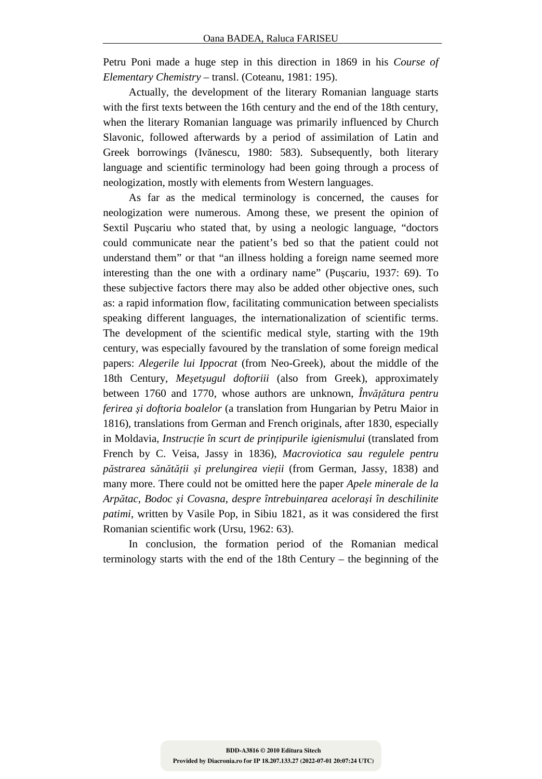Petru Poni made a huge step in this direction in 1869 in his *Course of Elementary Chemistry* – transl. (Coteanu, 1981: 195).

Actually, the development of the literary Romanian language starts with the first texts between the 16th century and the end of the 18th century, when the literary Romanian language was primarily influenced by Church Slavonic, followed afterwards by a period of assimilation of Latin and Greek borrowings (Ivănescu, 1980: 583). Subsequently, both literary language and scientific terminology had been going through a process of neologization, mostly with elements from Western languages.

As far as the medical terminology is concerned, the causes for neologization were numerous. Among these, we present the opinion of Sextil Puşcariu who stated that, by using a neologic language, "doctors could communicate near the patient's bed so that the patient could not understand them" or that "an illness holding a foreign name seemed more interesting than the one with a ordinary name" (Puşcariu, 1937: 69). To these subjective factors there may also be added other objective ones, such as: a rapid information flow, facilitating communication between specialists speaking different languages, the internationalization of scientific terms. The development of the scientific medical style, starting with the 19th century, was especially favoured by the translation of some foreign medical papers: *Alegerile lui Ippocrat* (from Neo-Greek), about the middle of the 18th Century, *Meşetşugul doftoriii* (also from Greek), approximately between 1760 and 1770, whose authors are unknown, *Învățătura pentru ferirea şi doftoria boalelor* (a translation from Hungarian by Petru Maior in 1816), translations from German and French originals, after 1830, especially in Moldavia, *Instructie în scurt de printipurile igienismului* (translated from French by C. Veisa, Jassy in 1836), *Macroviotica sau regulele pentru păstrarea sănătăŃii şi prelungirea vieŃii* (from German, Jassy, 1838) and many more. There could not be omitted here the paper *Apele minerale de la Arpătac*, *Bodoc şi Covasna*, *despre întrebuinŃarea aceloraşi în deschilinite patimi*, written by Vasile Pop, in Sibiu 1821, as it was considered the first Romanian scientific work (Ursu, 1962: 63).

In conclusion, the formation period of the Romanian medical terminology starts with the end of the 18th Century – the beginning of the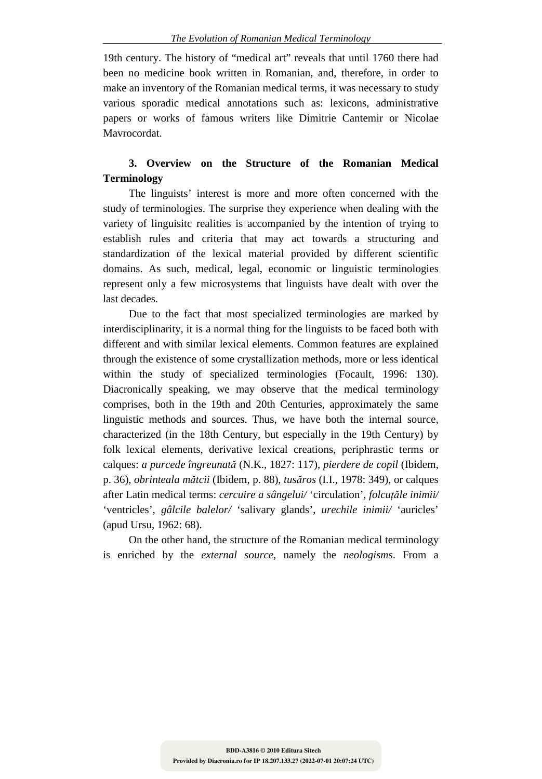19th century. The history of "medical art" reveals that until 1760 there had been no medicine book written in Romanian, and, therefore, in order to make an inventory of the Romanian medical terms, it was necessary to study various sporadic medical annotations such as: lexicons, administrative papers or works of famous writers like Dimitrie Cantemir or Nicolae Mavrocordat.

# **3. Overview on the Structure of the Romanian Medical Terminology**

The linguists' interest is more and more often concerned with the study of terminologies. The surprise they experience when dealing with the variety of linguisitc realities is accompanied by the intention of trying to establish rules and criteria that may act towards a structuring and standardization of the lexical material provided by different scientific domains. As such, medical, legal, economic or linguistic terminologies represent only a few microsystems that linguists have dealt with over the last decades.

Due to the fact that most specialized terminologies are marked by interdisciplinarity, it is a normal thing for the linguists to be faced both with different and with similar lexical elements. Common features are explained through the existence of some crystallization methods, more or less identical within the study of specialized terminologies (Focault, 1996: 130). Diacronically speaking, we may observe that the medical terminology comprises, both in the 19th and 20th Centuries, approximately the same linguistic methods and sources. Thus, we have both the internal source, characterized (in the 18th Century, but especially in the 19th Century) by folk lexical elements, derivative lexical creations, periphrastic terms or calques: *a purcede îngreunată* (N.K., 1827: 117), *pierdere de copil* (Ibidem, p. 36), *obrinteala mătcii* (Ibidem, p. 88), *tusăros* (I.I., 1978: 349), or calques after Latin medical terms: *cercuire a sângelui/* 'circulation', *folcuțăle inimii/* 'ventricles', *gâlcile balelor/* 'salivary glands', *urechile inimii/* 'auricles' (apud Ursu, 1962: 68).

On the other hand, the structure of the Romanian medical terminology is enriched by the *external source*, namely the *neologisms*. From a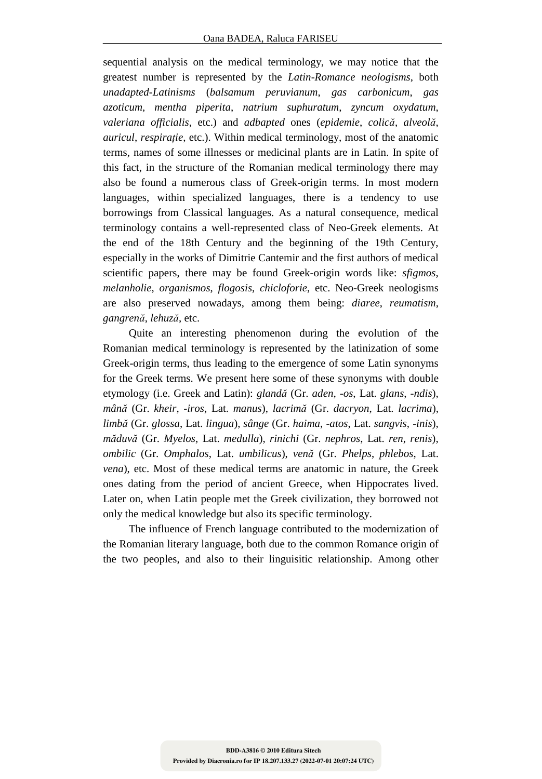sequential analysis on the medical terminology, we may notice that the greatest number is represented by the *Latin-Romance neologisms*, both *unadapted-Latinisms* (*balsamum peruvianum*, *gas carbonicum*, *gas azoticum*, *mentha piperita*, *natrium suphuratum*, *zyncum oxydatum*, *valeriana officialis*, etc.) and *adbapted* ones (*epidemie*, *colică*, *alveolă*, *auricul, respirație, etc.*). Within medical terminology, most of the anatomic terms, names of some illnesses or medicinal plants are in Latin. In spite of this fact, in the structure of the Romanian medical terminology there may also be found a numerous class of Greek-origin terms. In most modern languages, within specialized languages, there is a tendency to use borrowings from Classical languages. As a natural consequence, medical terminology contains a well-represented class of Neo-Greek elements. At the end of the 18th Century and the beginning of the 19th Century, especially in the works of Dimitrie Cantemir and the first authors of medical scientific papers, there may be found Greek-origin words like: *sfigmos*, *melanholie*, *organismos*, *flogosis*, *chicloforie*, etc. Neo-Greek neologisms are also preserved nowadays, among them being: *diaree*, *reumatism*, *gangrenă*, *lehuză*, etc.

Quite an interesting phenomenon during the evolution of the Romanian medical terminology is represented by the latinization of some Greek-origin terms, thus leading to the emergence of some Latin synonyms for the Greek terms. We present here some of these synonyms with double etymology (i.e. Greek and Latin): *glandă* (Gr. *aden*, *-os*, Lat. *glans*, -*ndis*), *mână* (Gr. *kheir*, *-iros*, Lat. *manus*), *lacrimă* (Gr. *dacryon*, Lat. *lacrima*), *limbă* (Gr. *glossa*, Lat. *lingua*), *sânge* (Gr. *haima*, *-atos*, Lat. *sangvis*, *-inis*), *măduvă* (Gr. *Myelos*, Lat. *medulla*), *rinichi* (Gr. *nephros*, Lat. *ren*, *renis*), *ombilic* (Gr. *Omphalos*, Lat. *umbilicus*), *venă* (Gr. *Phelps*, *phlebos*, Lat. *vena*), etc. Most of these medical terms are anatomic in nature, the Greek ones dating from the period of ancient Greece, when Hippocrates lived. Later on, when Latin people met the Greek civilization, they borrowed not only the medical knowledge but also its specific terminology.

The influence of French language contributed to the modernization of the Romanian literary language, both due to the common Romance origin of the two peoples, and also to their linguisitic relationship. Among other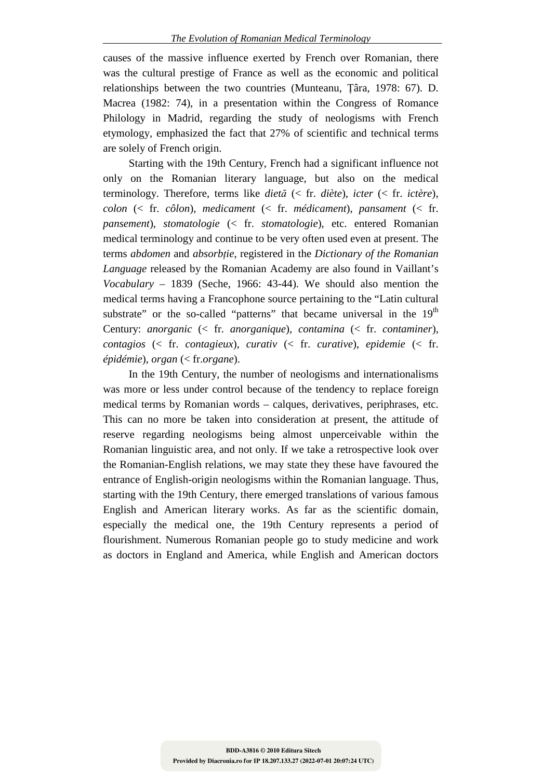causes of the massive influence exerted by French over Romanian, there was the cultural prestige of France as well as the economic and political relationships between the two countries (Munteanu, Țâra, 1978: 67). D. Macrea (1982: 74), in a presentation within the Congress of Romance Philology in Madrid, regarding the study of neologisms with French etymology, emphasized the fact that 27% of scientific and technical terms are solely of French origin.

Starting with the 19th Century, French had a significant influence not only on the Romanian literary language, but also on the medical terminology. Therefore, terms like *dietă* (< fr. *diète*), *icter* (< fr. *ictère*), *colon* (< fr. *côlon*), *medicament* (< fr. *médicament*), *pansament* (< fr. *pansement*), *stomatologie* (< fr. *stomatologie*), etc. entered Romanian medical terminology and continue to be very often used even at present. The terms *abdomen* and *absorbtie*, registered in the *Dictionary of the Romanian Language* released by the Romanian Academy are also found in Vaillant's *Vocabulary* – 1839 (Seche, 1966: 43-44). We should also mention the medical terms having a Francophone source pertaining to the "Latin cultural substrate" or the so-called "patterns" that became universal in the  $19<sup>th</sup>$ Century: *anorganic* (< fr. *anorganique*), *contamina* (< fr. *contaminer*), *contagios* (< fr. *contagieux*), *curativ* (< fr. *curative*), *epidemie* (< fr. *épidémie*), *organ* (< fr.*organe*).

In the 19th Century, the number of neologisms and internationalisms was more or less under control because of the tendency to replace foreign medical terms by Romanian words – calques, derivatives, periphrases, etc. This can no more be taken into consideration at present, the attitude of reserve regarding neologisms being almost unperceivable within the Romanian linguistic area, and not only. If we take a retrospective look over the Romanian-English relations, we may state they these have favoured the entrance of English-origin neologisms within the Romanian language. Thus, starting with the 19th Century, there emerged translations of various famous English and American literary works. As far as the scientific domain, especially the medical one, the 19th Century represents a period of flourishment. Numerous Romanian people go to study medicine and work as doctors in England and America, while English and American doctors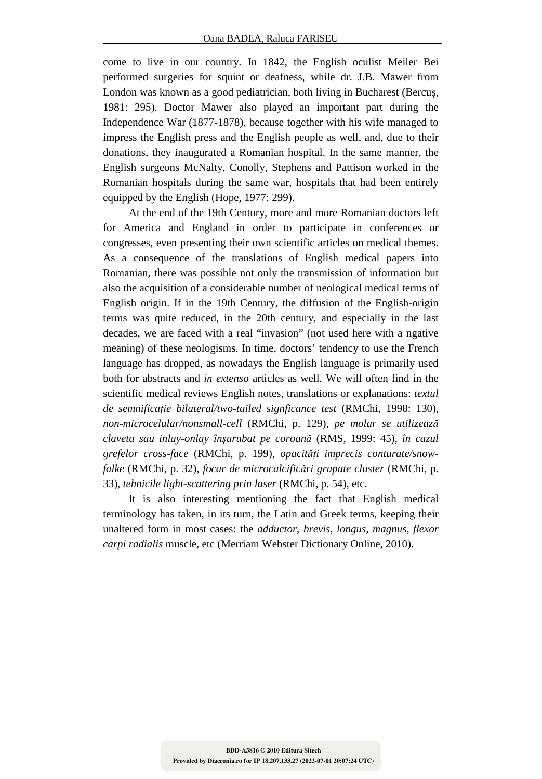come to live in our country. In 1842, the English oculist Meiler Bei performed surgeries for squint or deafness, while dr. J.B. Mawer from London was known as a good pediatrician, both living in Bucharest (Bercuş, 1981: 295). Doctor Mawer also played an important part during the Independence War (1877-1878), because together with his wife managed to impress the English press and the English people as well, and, due to their donations, they inaugurated a Romanian hospital. In the same manner, the English surgeons McNalty, Conolly, Stephens and Pattison worked in the Romanian hospitals during the same war, hospitals that had been entirely equipped by the English (Hope, 1977: 299).

At the end of the 19th Century, more and more Romanian doctors left for America and England in order to participate in conferences or congresses, even presenting their own scientific articles on medical themes. As a consequence of the translations of English medical papers into Romanian, there was possible not only the transmission of information but also the acquisition of a considerable number of neological medical terms of English origin. If in the 19th Century, the diffusion of the English-origin terms was quite reduced, in the 20th century, and especially in the last decades, we are faced with a real "invasion" (not used here with a ngative meaning) of these neologisms. In time, doctors' tendency to use the French language has dropped, as nowadays the English language is primarily used both for abstracts and *in extenso* articles as well. We will often find in the scientific medical reviews English notes, translations or explanations: *textul de semnificație bilateral/two-tailed signficance test* (RMChi, 1998: 130), *non-microcelular/nonsmall-cell* (RMChi, p. 129), *pe molar se utilizează claveta sau inlay-onlay înşurubat pe coroană* (RMS, 1999: 45), *în cazul*  grefelor cross-face (RMChi, p. 199), opacități imprecis conturate/snow*falke* (RMChi, p. 32), *focar de microcalcificări grupate cluster* (RMChi, p. 33), *tehnicile light-scattering prin laser* (RMChi, p. 54), etc.

It is also interesting mentioning the fact that English medical terminology has taken, in its turn, the Latin and Greek terms, keeping their unaltered form in most cases: the *adductor*, *brevis*, *longus*, *magnus*, *flexor carpi radialis* muscle, etc (Merriam Webster Dictionary Online, 2010).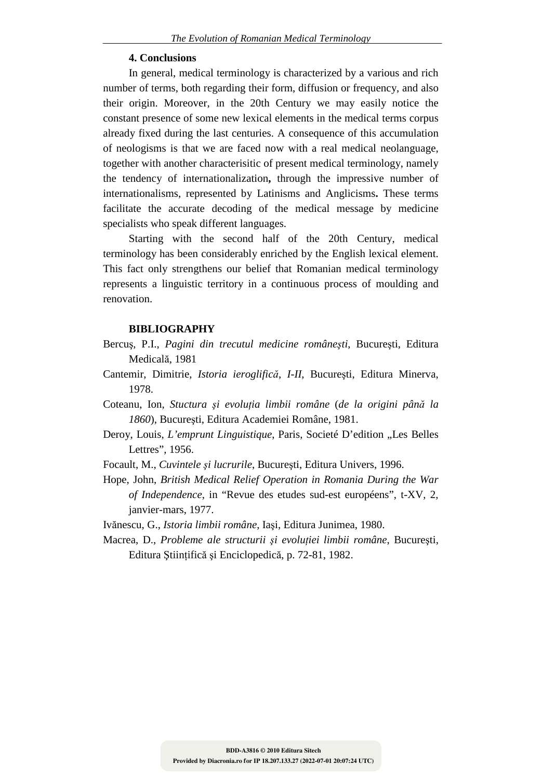### **4. Conclusions**

In general, medical terminology is characterized by a various and rich number of terms, both regarding their form, diffusion or frequency, and also their origin. Moreover, in the 20th Century we may easily notice the constant presence of some new lexical elements in the medical terms corpus already fixed during the last centuries. A consequence of this accumulation of neologisms is that we are faced now with a real medical neolanguage, together with another characterisitic of present medical terminology, namely the tendency of internationalization**,** through the impressive number of internationalisms, represented by Latinisms and Anglicisms**.** These terms facilitate the accurate decoding of the medical message by medicine specialists who speak different languages.

Starting with the second half of the 20th Century, medical terminology has been considerably enriched by the English lexical element. This fact only strengthens our belief that Romanian medical terminology represents a linguistic territory in a continuous process of moulding and renovation.

### **BIBLIOGRAPHY**

- Bercuş, P.I., *Pagini din trecutul medicine româneşti*, Bucureşti, Editura Medicală, 1981
- Cantemir, Dimitrie, *Istoria ieroglifică*, *I-II*, Bucureşti, Editura Minerva, 1978.
- Coteanu, Ion, *Stuctura și evoluția limbii române (de la origini până la 1860*), Bucureşti, Editura Academiei Române, 1981.
- Deroy, Louis, *L'emprunt Linguistique*, Paris, Societé D'edition "Les Belles Lettres", 1956.
- Focault, M., *Cuvintele şi lucrurile*, Bucureşti, Editura Univers, 1996.
- Hope, John, *British Medical Relief Operation in Romania During the War of Independence*, in "Revue des etudes sud-est européens", t-XV, 2, janvier-mars, 1977.

Ivănescu, G., *Istoria limbii române*, Iaşi, Editura Junimea, 1980.

Macrea, D., *Probleme ale structurii și evoluției limbii române*, București, Editura Științifică și Enciclopedică, p. 72-81, 1982.